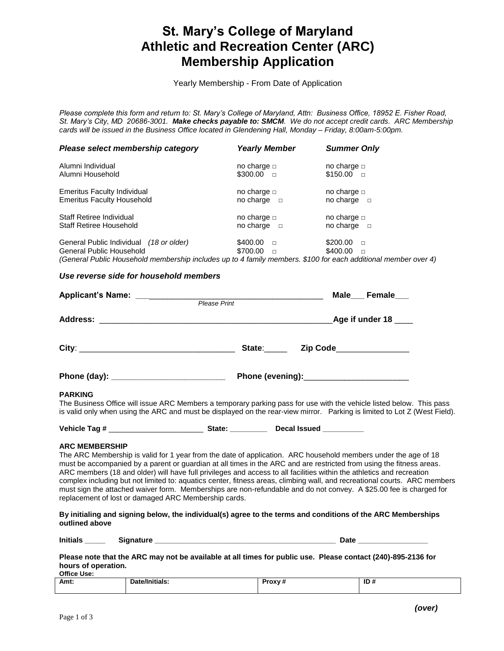# **St. Mary's College of Maryland Athletic and Recreation Center (ARC) Membership Application**

Yearly Membership - From Date of Application

*Please complete this form and return to: St. Mary's College of Maryland, Attn: Business Office, 18952 E. Fisher Road, St. Mary's City, MD 20686-3001. Make checks payable to: SMCM. We do not accept credit cards. ARC Membership cards will be issued in the Business Office located in Glendening Hall, Monday – Friday, 8:00am-5:00pm.* 

| Please select membership category                                                                                                                                          | <b>Yearly Member</b>                     | <b>Summer Only</b>                     |
|----------------------------------------------------------------------------------------------------------------------------------------------------------------------------|------------------------------------------|----------------------------------------|
| Alumni Individual<br>Alumni Household                                                                                                                                      | no charge $\Box$<br>\$300.00<br>$\Box$   | no charge $\Box$<br>$$150.00$ $\Box$   |
| <b>Emeritus Faculty Individual</b><br><b>Emeritus Faculty Household</b>                                                                                                    | no charge $\Box$<br>no charge $\Box$     | no charge $\Box$<br>no charge $\Box$   |
| Staff Retiree Individual<br>Staff Retiree Household                                                                                                                        | no charge $\Box$<br>no charge $\Box$     | no charge $\Box$<br>no charge $\Box$   |
| General Public Individual (18 or older)<br>General Public Household<br>(General Public Household membership includes up to 4 family members $$100$ for each additional mer | \$400.00<br>$\Box$<br>\$700.00<br>$\Box$ | \$200.00<br>$\Box$<br>$$400.00$ $\Box$ |

*(General Public Household membership includes up to 4 family members. \$100 for each additional member over 4)*

### *Use reverse side for household members*

|                                           |                     | Male Female                                                                                                                                                                                                                   |  |  |  |
|-------------------------------------------|---------------------|-------------------------------------------------------------------------------------------------------------------------------------------------------------------------------------------------------------------------------|--|--|--|
|                                           | <b>Please Print</b> |                                                                                                                                                                                                                               |  |  |  |
|                                           |                     | Age if under $18$ ____                                                                                                                                                                                                        |  |  |  |
|                                           | State:              | Zip Code_______________                                                                                                                                                                                                       |  |  |  |
| Phone (day): ____________________________ |                     | Phone (evening): Management Contains a management of the set of the set of the set of the set of the set of the set of the set of the set of the set of the set of the set of the set of the set of the set of the set of the |  |  |  |

#### **PARKING**

The Business Office will issue ARC Members a temporary parking pass for use with the vehicle listed below. This pass is valid only when using the ARC and must be displayed on the rear-view mirror. Parking is limited to Lot Z (West Field).

| Vehicle Tag #<br>Decal Issued<br>State |  |
|----------------------------------------|--|
|----------------------------------------|--|

#### **ARC MEMBERSHIP**

The ARC Membership is valid for 1 year from the date of application. ARC household members under the age of 18 must be accompanied by a parent or guardian at all times in the ARC and are restricted from using the fitness areas. ARC members (18 and older) will have full privileges and access to all facilities within the athletics and recreation complex including but not limited to: aquatics center, fitness areas, climbing wall, and recreational courts. ARC members must sign the attached waiver form. Memberships are non-refundable and do not convey. A \$25.00 fee is charged for replacement of lost or damaged ARC Membership cards.

**By initialing and signing below, the individual(s) agree to the terms and conditions of the ARC Memberships outlined above**

**Please note that the ARC may not be available at all times for public use. Please contact (240)-895-2136 for hours of operation. Office Use:**

| Amt: | 'N.<br>·lais. | " שו<br>$-$ |
|------|---------------|-------------|
|      |               |             |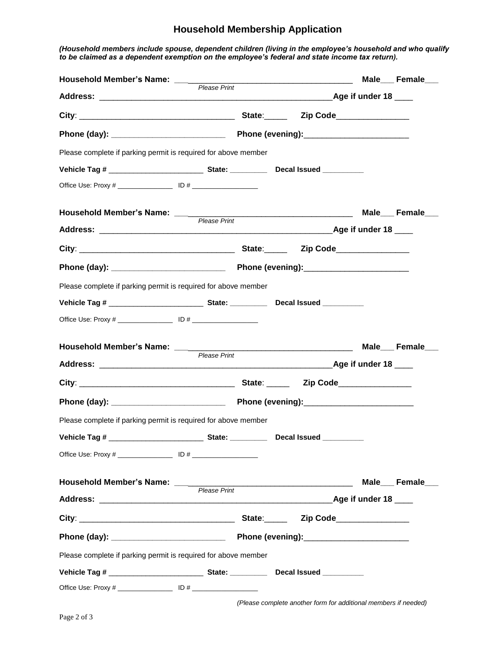### **Household Membership Application**

*(Household members include spouse, dependent children (living in the employee's household and who qualify to be claimed as a dependent exemption on the employee's federal and state income tax return).* 

| Household Member's Name: _______                                                  |                     |  |                        | Male___Female___ |
|-----------------------------------------------------------------------------------|---------------------|--|------------------------|------------------|
|                                                                                   | <b>Please Print</b> |  |                        |                  |
|                                                                                   |                     |  |                        |                  |
|                                                                                   |                     |  |                        |                  |
| Please complete if parking permit is required for above member                    |                     |  |                        |                  |
|                                                                                   |                     |  |                        |                  |
|                                                                                   |                     |  |                        |                  |
|                                                                                   |                     |  |                        | Male___Female___ |
|                                                                                   |                     |  |                        |                  |
|                                                                                   |                     |  |                        |                  |
|                                                                                   |                     |  |                        |                  |
| Please complete if parking permit is required for above member                    |                     |  |                        |                  |
|                                                                                   |                     |  |                        |                  |
|                                                                                   |                     |  |                        |                  |
| Household Member's Name: _________                                                |                     |  |                        |                  |
|                                                                                   | Please Print        |  |                        |                  |
|                                                                                   |                     |  |                        |                  |
|                                                                                   |                     |  |                        |                  |
| Please complete if parking permit is required for above member                    |                     |  |                        |                  |
| Vehicle Tag # ________________________________State: ___________________________  |                     |  |                        |                  |
|                                                                                   |                     |  |                        |                  |
|                                                                                   |                     |  |                        | Male___Female___ |
|                                                                                   |                     |  | <b>Age if under 18</b> |                  |
|                                                                                   |                     |  |                        |                  |
|                                                                                   |                     |  |                        |                  |
| Please complete if parking permit is required for above member                    |                     |  |                        |                  |
| Vehicle Tag # _________________________________State: ___________________________ |                     |  |                        |                  |
|                                                                                   |                     |  |                        |                  |

*(Please complete another form for additional members if needed)*